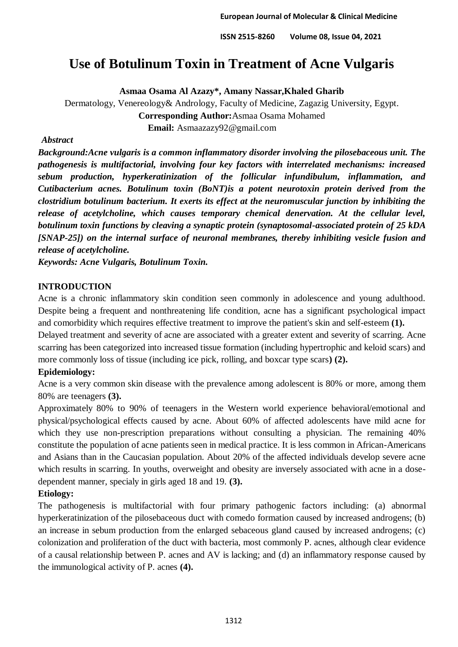# **Use of Botulinum Toxin in Treatment of Acne Vulgaris**

**Asmaa Osama Al Azazy\*, Amany Nassar,Khaled Gharib**

Dermatology, Venereology& Andrology, Faculty of Medicine, Zagazig University, Egypt. **Corresponding Author:**Asmaa Osama Mohamed **Email:** Asmaazazy92@gmail.com

## *Abstract*

*Background:Acne vulgaris is a common inflammatory disorder involving the pilosebaceous unit. The pathogenesis is multifactorial, involving four key factors with interrelated mechanisms: increased sebum production, hyperkeratinization of the follicular infundibulum, inflammation, and Cutibacterium acnes. Botulinum toxin (BoNT)is a potent neurotoxin protein derived from the clostridium botulinum bacterium. It exerts its effect at the neuromuscular junction by inhibiting the release of acetylcholine, which causes temporary chemical denervation. At the cellular level, botulinum toxin functions by cleaving a synaptic protein (synaptosomal-associated protein of 25 kDA [SNAP-25]) on the internal surface of neuronal membranes, thereby inhibiting vesicle fusion and release of acetylcholine.*

*Keywords: Acne Vulgaris, Botulinum Toxin.*

## **INTRODUCTION**

Acne is a chronic inflammatory skin condition seen commonly in adolescence and young adulthood. Despite being a frequent and nonthreatening life condition, acne has a significant psychological impact and comorbidity which requires effective treatment to improve the patient's skin and self-esteem **(1).**

Delayed treatment and severity of acne are associated with a greater extent and severity of scarring. Acne scarring has been categorized into increased tissue formation (including hypertrophic and keloid scars) and more commonly loss of tissue (including ice pick, rolling, and boxcar type scars**) (2).**

# **Epidemiology:**

Acne is a very common skin disease with the prevalence among adolescent is 80% or more, among them 80% are teenagers **(3).**

Approximately 80% to 90% of teenagers in the Western world experience behavioral/emotional and physical/psychological effects caused by acne. About 60% of affected adolescents have mild acne for which they use non-prescription preparations without consulting a physician. The remaining 40% constitute the population of acne patients seen in medical practice. It is less common in African-Americans and Asians than in the Caucasian population. About 20% of the affected individuals develop severe acne which results in scarring. In youths, overweight and obesity are inversely associated with acne in a dosedependent manner, specialy in girls aged 18 and 19. **(3).**

# **Etiology:**

The pathogenesis is multifactorial with four primary pathogenic factors including: (a) abnormal hyperkeratinization of the pilosebaceous duct with comedo formation caused by increased androgens; (b) an increase in sebum production from the enlarged sebaceous gland caused by increased androgens; (c) colonization and proliferation of the duct with bacteria, most commonly P. acnes, although clear evidence of a causal relationship between P. acnes and AV is lacking; and (d) an inflammatory response caused by the immunological activity of P. acnes **(4).**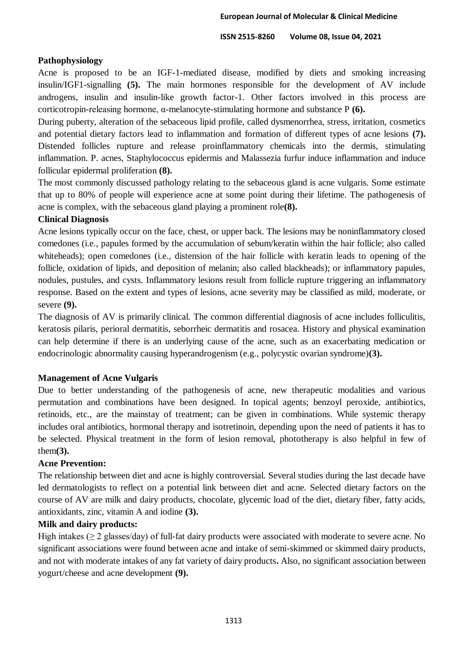#### **Pathophysiology**

Acne is proposed to be an IGF-1-mediated disease, modified by diets and smoking increasing insulin/IGF1-signalling **(5).** The main hormones responsible for the development of AV include androgens, insulin and insulin-like growth factor-1. Other factors involved in this process are corticotropin-releasing hormone, α-melanocyte-stimulating hormone and substance P **(6).**

During puberty, alteration of the sebaceous lipid profile, called dysmenorrhea, stress, irritation, cosmetics and potential dietary factors lead to inflammation and formation of different types of acne lesions **(7).** Distended follicles rupture and release proinflammatory chemicals into the dermis, stimulating inflammation. P. acnes, Staphylococcus epidermis and Malassezia furfur induce inflammation and induce follicular epidermal proliferation **(8).**

The most commonly discussed pathology relating to the sebaceous gland is acne vulgaris. Some estimate that up to 80% of people will experience acne at some point during their lifetime. The pathogenesis of acne is complex, with the sebaceous gland playing a prominent role**(8).**

#### **Clinical Diagnosis**

Acne lesions typically occur on the face, chest, or upper back. The lesions may be noninflammatory closed comedones (i.e., papules formed by the accumulation of sebum/keratin within the hair follicle; also called whiteheads); open comedones (i.e., distension of the hair follicle with keratin leads to opening of the follicle, oxidation of lipids, and deposition of melanin; also called blackheads); or inflammatory papules, nodules, pustules, and cysts. Inflammatory lesions result from follicle rupture triggering an inflammatory response. Based on the extent and types of lesions, acne severity may be classified as mild, moderate, or severe **(9).**

The diagnosis of AV is primarily clinical. The common differential diagnosis of acne includes folliculitis, keratosis pilaris, perioral dermatitis, seborrheic dermatitis and rosacea. History and physical examination can help determine if there is an underlying cause of the acne, such as an exacerbating medication or endocrinologic abnormality causing hyperandrogenism (e.g., polycystic ovarian syndrome)**(3).** 

## **Management of Acne Vulgaris**

Due to better understanding of the pathogenesis of acne, new therapeutic modalities and various permutation and combinations have been designed. In topical agents; benzoyl peroxide, antibiotics, retinoids, etc., are the mainstay of treatment; can be given in combinations. While systemic therapy includes oral antibiotics, hormonal therapy and isotretinoin, depending upon the need of patients it has to be selected. Physical treatment in the form of lesion removal, phototherapy is also helpful in few of them**(3).**

#### **Acne Prevention:**

The relationship between diet and acne is highly controversial. Several studies during the last decade have led dermatologists to reflect on a potential link between diet and acne. Selected dietary factors on the course of AV are milk and dairy products, chocolate, glycemic load of the diet, dietary fiber, fatty acids, antioxidants, zinc, vitamin A and iodine **(3).**

## **Milk and dairy products:**

High intakes (≥ 2 glasses/day) of full-fat dairy products were associated with moderate to severe acne. No significant associations were found between acne and intake of semi-skimmed or skimmed dairy products, and not with moderate intakes of any fat variety of dairy products**.** Also, no significant association between yogurt/cheese and acne development **(9).**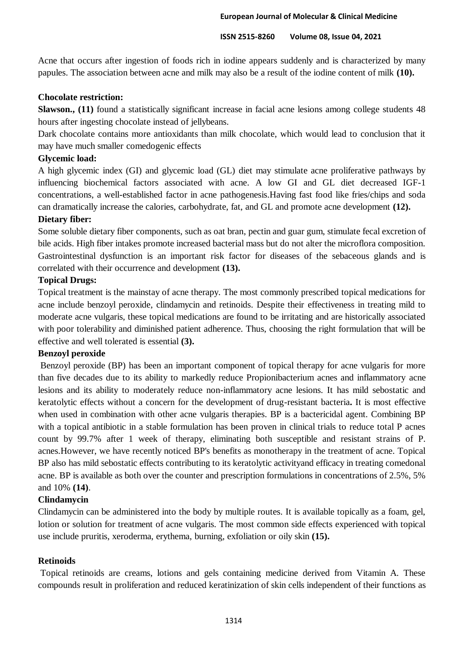Acne that occurs after ingestion of foods rich in iodine appears suddenly and is characterized by many papules. The association between acne and milk may also be a result of the iodine content of milk **(10).**

## **Chocolate restriction:**

**Slawson., (11)** found a statistically significant increase in facial acne lesions among college students 48 hours after ingesting chocolate instead of jellybeans.

Dark chocolate contains more antioxidants than milk chocolate, which would lead to conclusion that it may have much smaller comedogenic effects

#### **Glycemic load:**

A high glycemic index (GI) and glycemic load (GL) diet may stimulate acne proliferative pathways by influencing biochemical factors associated with acne. A low GI and GL diet decreased IGF-1 concentrations, a well-established factor in acne pathogenesis.Having fast food like fries/chips and soda can dramatically increase the calories, carbohydrate, fat, and GL and promote acne development **(12).**

#### **Dietary fiber:**

Some soluble dietary fiber components, such as oat bran, pectin and guar gum, stimulate fecal excretion of bile acids. High fiber intakes promote increased bacterial mass but do not alter the microflora composition. Gastrointestinal dysfunction is an important risk factor for diseases of the sebaceous glands and is correlated with their occurrence and development **(13).**

## **Topical Drugs:**

Topical treatment is the mainstay of acne therapy. The most commonly prescribed topical medications for acne include benzoyl peroxide, clindamycin and retinoids. Despite their effectiveness in treating mild to moderate acne vulgaris, these topical medications are found to be irritating and are historically associated with poor tolerability and diminished patient adherence. Thus, choosing the right formulation that will be effective and well tolerated is essential **(3).**

## **Benzoyl peroxide**

Benzoyl peroxide (BP) has been an important component of topical therapy for acne vulgaris for more than five decades due to its ability to markedly reduce Propionibacterium acnes and inflammatory acne lesions and its ability to moderately reduce non-inflammatory acne lesions. It has mild sebostatic and keratolytic effects without a concern for the development of drug-resistant bacteria**.** It is most effective when used in combination with other acne vulgaris therapies. BP is a bactericidal agent. Combining BP with a topical antibiotic in a stable formulation has been proven in clinical trials to reduce total P acnes count by 99.7% after 1 week of therapy, eliminating both susceptible and resistant strains of P. acnes.However, we have recently noticed BP's benefits as monotherapy in the treatment of acne. Topical BP also has mild sebostatic effects contributing to its keratolytic activityand efficacy in treating comedonal acne. BP is available as both over the counter and prescription formulations in concentrations of 2.5%, 5% and 10% **(14)**.

## **Clindamycin**

Clindamycin can be administered into the body by multiple routes. It is available topically as a foam, gel, lotion or solution for treatment of acne vulgaris. The most common side effects experienced with topical use include pruritis, xeroderma, erythema, burning, exfoliation or oily skin **(15).**

#### **Retinoids**

Topical retinoids are creams, lotions and gels containing medicine derived from Vitamin A. These compounds result in proliferation and reduced keratinization of skin cells independent of their functions as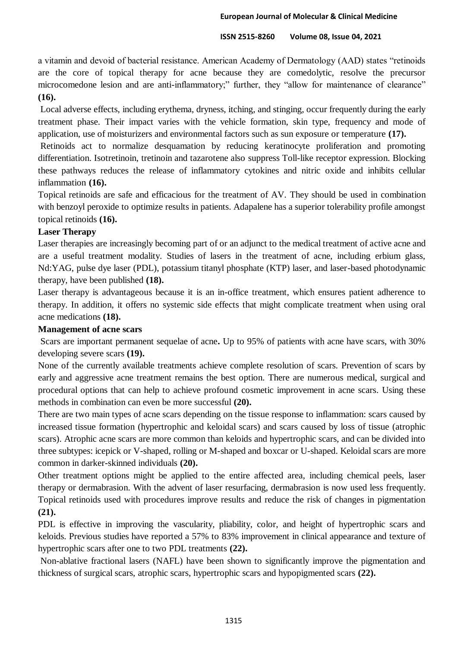a vitamin and devoid of bacterial resistance. American Academy of Dermatology (AAD) states "retinoids are the core of topical therapy for acne because they are comedolytic, resolve the precursor microcomedone lesion and are anti-inflammatory;" further, they "allow for maintenance of clearance" **(16).**

Local adverse effects, including erythema, dryness, itching, and stinging, occur frequently during the early treatment phase. Their impact varies with the vehicle formation, skin type, frequency and mode of application, use of moisturizers and environmental factors such as sun exposure or temperature **(17).**

Retinoids act to normalize desquamation by reducing keratinocyte proliferation and promoting differentiation. Isotretinoin, tretinoin and tazarotene also suppress Toll-like receptor expression. Blocking these pathways reduces the release of inflammatory cytokines and nitric oxide and inhibits cellular inflammation **(16).**

Topical retinoids are safe and efficacious for the treatment of AV. They should be used in combination with benzoyl peroxide to optimize results in patients. Adapalene has a superior tolerability profile amongst topical retinoids **(16).**

## **Laser Therapy**

Laser therapies are increasingly becoming part of or an adjunct to the medical treatment of active acne and are a useful treatment modality. Studies of lasers in the treatment of acne, including erbium glass, Nd:YAG, pulse dye laser (PDL), potassium titanyl phosphate (KTP) laser, and laser-based photodynamic therapy, have been published **(18).**

Laser therapy is advantageous because it is an in-office treatment, which ensures patient adherence to therapy. In addition, it offers no systemic side effects that might complicate treatment when using oral acne medications **(18).**

## **Management of acne scars**

Scars are important permanent sequelae of acne**.** Up to 95% of patients with acne have scars, with 30% developing severe scars **(19).**

None of the currently available treatments achieve complete resolution of scars. Prevention of scars by early and aggressive acne treatment remains the best option. There are numerous medical, surgical and procedural options that can help to achieve profound cosmetic improvement in acne scars. Using these methods in combination can even be more successful **(20).**

There are two main types of acne scars depending on the tissue response to inflammation: scars caused by increased tissue formation (hypertrophic and keloidal scars) and scars caused by loss of tissue (atrophic scars). Atrophic acne scars are more common than keloids and hypertrophic scars, and can be divided into three subtypes: icepick or V-shaped, rolling or M-shaped and boxcar or U-shaped. Keloidal scars are more common in darker-skinned individuals **(20).**

Other treatment options might be applied to the entire affected area, including chemical peels, laser therapy or dermabrasion. With the advent of laser resurfacing, dermabrasion is now used less frequently. Topical retinoids used with procedures improve results and reduce the risk of changes in pigmentation **(21).**

PDL is effective in improving the vascularity, pliability, color, and height of hypertrophic scars and keloids. Previous studies have reported a 57% to 83% improvement in clinical appearance and texture of hypertrophic scars after one to two PDL treatments **(22).**

Non-ablative fractional lasers (NAFL) have been shown to significantly improve the pigmentation and thickness of surgical scars, atrophic scars, hypertrophic scars and hypopigmented scars **(22).**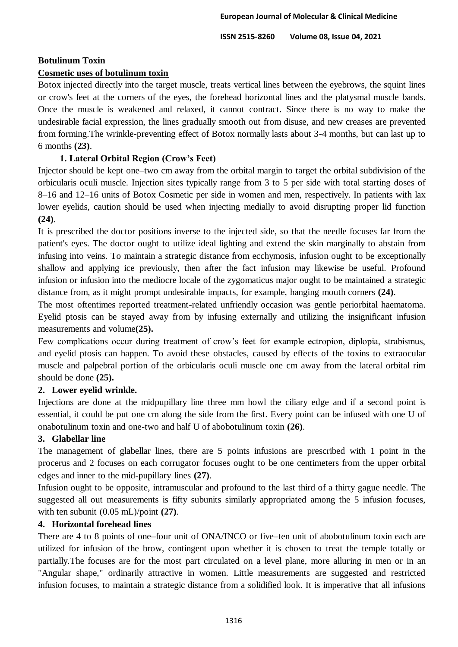## **Botulinum Toxin**

## **Cosmetic uses of botulinum toxin**

Botox injected directly into the target muscle, treats vertical lines between the eyebrows, the squint lines or crow's feet at the corners of the eyes, the forehead horizontal lines and the platysmal muscle bands. Once the muscle is weakened and relaxed, it cannot contract. Since there is no way to make the undesirable facial expression, the lines gradually smooth out from disuse, and new creases are prevented from forming.The wrinkle-preventing effect of Botox normally lasts about 3-4 months, but can last up to 6 months **(23)**.

# **1. Lateral Orbital Region (Crow's Feet)**

Injector should be kept one–two cm away from the orbital margin to target the orbital subdivision of the orbicularis oculi muscle. Injection sites typically range from 3 to 5 per side with total starting doses of 8–16 and 12–16 units of Botox Cosmetic per side in women and men, respectively. In patients with lax lower eyelids, caution should be used when injecting medially to avoid disrupting proper lid function **(24)**.

It is prescribed the doctor positions inverse to the injected side, so that the needle focuses far from the patient's eyes. The doctor ought to utilize ideal lighting and extend the skin marginally to abstain from infusing into veins. To maintain a strategic distance from ecchymosis, infusion ought to be exceptionally shallow and applying ice previously, then after the fact infusion may likewise be useful. Profound infusion or infusion into the mediocre locale of the zygomaticus major ought to be maintained a strategic distance from, as it might prompt undesirable impacts, for example, hanging mouth corners **(24)**.

The most oftentimes reported treatment-related unfriendly occasion was gentle periorbital haematoma. Eyelid ptosis can be stayed away from by infusing externally and utilizing the insignificant infusion measurements and volume**(25).**

Few complications occur during treatment of crow's feet for example ectropion, diplopia, strabismus, and eyelid ptosis can happen. To avoid these obstacles, caused by effects of the toxins to extraocular muscle and palpebral portion of the orbicularis oculi muscle one cm away from the lateral orbital rim should be done **(25).**

# **2. Lower eyelid wrinkle.**

Injections are done at the midpupillary line three mm howl the ciliary edge and if a second point is essential, it could be put one cm along the side from the first. Every point can be infused with one U of onabotulinum toxin and one-two and half U of abobotulinum toxin **(26)**.

# **3. Glabellar line**

The management of glabellar lines, there are 5 points infusions are prescribed with 1 point in the procerus and 2 focuses on each corrugator focuses ought to be one centimeters from the upper orbital edges and inner to the mid-pupillary lines **(27)**.

Infusion ought to be opposite, intramuscular and profound to the last third of a thirty gague needle. The suggested all out measurements is fifty subunits similarly appropriated among the 5 infusion focuses, with ten subunit (0.05 mL)/point **(27)**.

# **4. Horizontal forehead lines**

There are 4 to 8 points of one–four unit of ONA/INCO or five–ten unit of abobotulinum toxin each are utilized for infusion of the brow, contingent upon whether it is chosen to treat the temple totally or partially.The focuses are for the most part circulated on a level plane, more alluring in men or in an "Angular shape," ordinarily attractive in women. Little measurements are suggested and restricted infusion focuses, to maintain a strategic distance from a solidified look. It is imperative that all infusions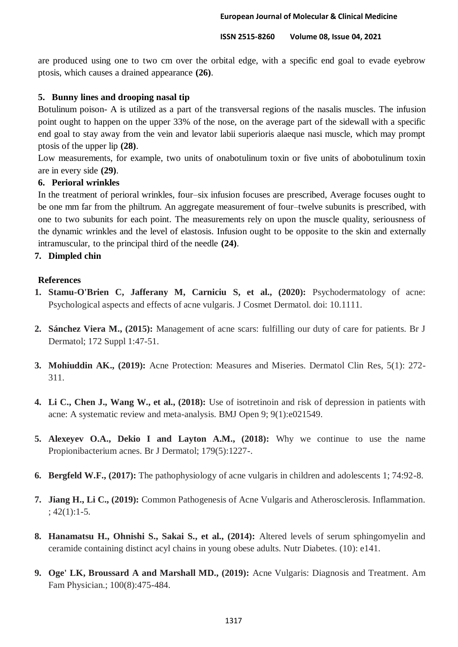are produced using one to two cm over the orbital edge, with a specific end goal to evade eyebrow ptosis, which causes a drained appearance **(26)**.

## **5. Bunny lines and drooping nasal tip**

Botulinum poison- A is utilized as a part of the transversal regions of the nasalis muscles. The infusion point ought to happen on the upper 33% of the nose, on the average part of the sidewall with a specific end goal to stay away from the vein and levator labii superioris alaeque nasi muscle, which may prompt ptosis of the upper lip **(28)**.

Low measurements, for example, two units of onabotulinum toxin or five units of abobotulinum toxin are in every side **(29)**.

## **6. Perioral wrinkles**

In the treatment of perioral wrinkles, four–six infusion focuses are prescribed, Average focuses ought to be one mm far from the philtrum. An aggregate measurement of four–twelve subunits is prescribed, with one to two subunits for each point. The measurements rely on upon the muscle quality, seriousness of the dynamic wrinkles and the level of elastosis. Infusion ought to be opposite to the skin and externally intramuscular, to the principal third of the needle **(24)**.

## **7. Dimpled chin**

## **References**

- **1. Stamu-O'Brien C, Jafferany M, Carniciu S, et al., (2020):** Psychodermatology of acne: Psychological aspects and effects of acne vulgaris. J Cosmet Dermatol. doi: 10.1111.
- **2. Sánchez Viera M., (2015):** Management of acne scars: fulfilling our duty of care for patients. Br J Dermatol; 172 Suppl 1:47-51.
- **3. Mohiuddin AK., (2019):** Acne Protection: Measures and Miseries. Dermatol Clin Res, 5(1): 272- 311.
- **4. Li C., Chen J., Wang W., et al., (2018):** Use of isotretinoin and risk of depression in patients with acne: A systematic review and meta-analysis. BMJ Open 9; 9(1):e021549.
- **5. Alexeyev O.A., Dekio I and Layton A.M., (2018):** Why we continue to use the name Propionibacterium acnes. Br J Dermatol; 179(5):1227-.
- **6. Bergfeld W.F., (2017):** The pathophysiology of acne vulgaris in children and adolescents 1; 74:92-8.
- **7. Jiang H., Li C., (2019):** Common Pathogenesis of Acne Vulgaris and Atherosclerosis. Inflammation. ; 42(1):1-5.
- **8. Hanamatsu H., Ohnishi S., Sakai S., et al., (2014):** Altered levels of serum sphingomyelin and ceramide containing distinct acyl chains in young obese adults. Nutr Diabetes. (10): e141.
- **9. Oge' LK, Broussard A and Marshall MD., (2019):** Acne Vulgaris: Diagnosis and Treatment. Am Fam Physician.; 100(8):475-484.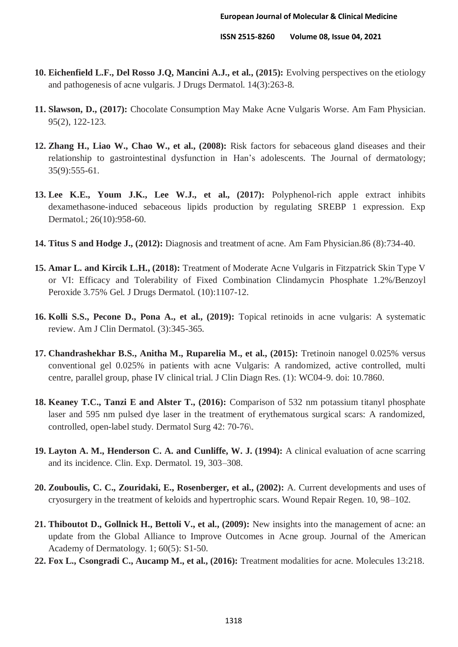- **10. Eichenfield L.F., Del Rosso J.Q, Mancini A.J., et al., (2015):** Evolving perspectives on the etiology and pathogenesis of acne vulgaris. J Drugs Dermatol. 14(3):263-8.
- **11. Slawson, D., (2017):** Chocolate Consumption May Make Acne Vulgaris Worse. Am Fam Physician. 95(2), 122-123.
- **12. Zhang H., Liao W., Chao W., et al., (2008):** Risk factors for sebaceous gland diseases and their relationship to gastrointestinal dysfunction in Han's adolescents. The Journal of dermatology; 35(9):555-61.
- **13. Lee K.E., Youm J.K., Lee W.J., et al., (2017):** Polyphenol-rich apple extract inhibits dexamethasone-induced sebaceous lipids production by regulating SREBP 1 expression. Exp Dermatol.; 26(10):958-60.
- **14. Titus S and Hodge J., (2012):** Diagnosis and treatment of acne. Am Fam Physician.86 (8):734-40.
- **15. Amar L. and Kircik L.H., (2018):** Treatment of Moderate Acne Vulgaris in Fitzpatrick Skin Type V or VI: Efficacy and Tolerability of Fixed Combination Clindamycin Phosphate 1.2%/Benzoyl Peroxide 3.75% Gel. J Drugs Dermatol. (10):1107-12.
- **16. Kolli S.S., Pecone D., Pona A., et al., (2019):** Topical retinoids in acne vulgaris: A systematic review. Am J Clin Dermatol. (3):345-365.
- **17. Chandrashekhar B.S., Anitha M., Ruparelia M., et al., (2015):** Tretinoin nanogel 0.025% versus conventional gel 0.025% in patients with acne Vulgaris: A randomized, active controlled, multi centre, parallel group, phase IV clinical trial. J Clin Diagn Res. (1): WC04-9. doi: 10.7860.
- **18. Keaney T.C., Tanzi E and Alster T., (2016):** Comparison of 532 nm potassium titanyl phosphate laser and 595 nm pulsed dye laser in the treatment of erythematous surgical scars: A randomized, controlled, open-label study. Dermatol Surg 42: 70-76\.
- **19. Layton A. M., Henderson C. A. and Cunliffe, W. J. (1994):** A clinical evaluation of acne scarring and its incidence. Clin. Exp. Dermatol. 19, 303–308.
- **20. Zouboulis, C. C., Zouridaki, E., Rosenberger, et al., (2002):** A. Current developments and uses of cryosurgery in the treatment of keloids and hypertrophic scars. Wound Repair Regen. 10, 98–102.
- **21. Thiboutot D., Gollnick H., Bettoli V., et al., (2009):** New insights into the management of acne: an update from the Global Alliance to Improve Outcomes in Acne group. Journal of the American Academy of Dermatology. 1; 60(5): S1-50.
- **22. Fox L., Csongradi C., Aucamp M., et al., (2016):** Treatment modalities for acne. Molecules 13:218.